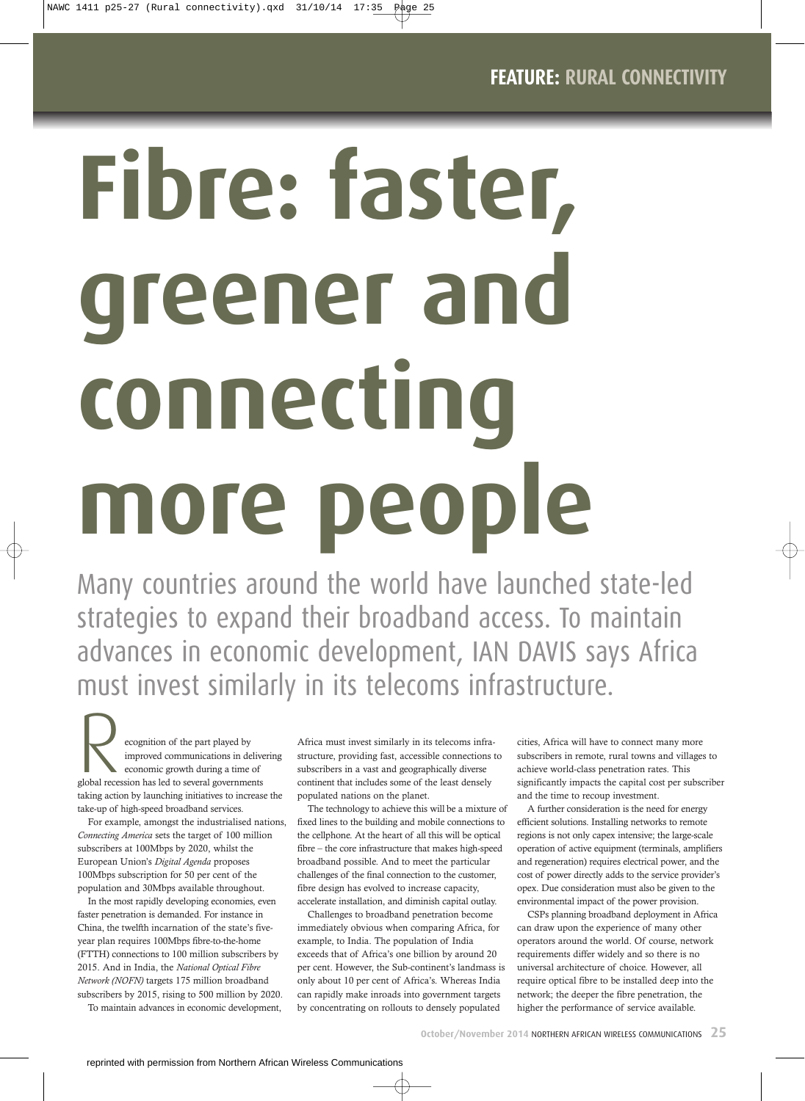# **Fibre: faster, greener and connecting more people**

NAWC 1411 p25-27 (Rural connectivity).qxd 31/10/14 17:35 Page 25

Many countries around the world have launched state-led strategies to expand their broadband access. To maintain advances in economic development, IAN DAVIS says Africa must invest similarly in its telecoms infrastructure.

ecognition of the part played by<br>
improved communications in deliver<br>
global recession has led to several governments improved communications in delivering economic growth during a time of taking action by launching initiatives to increase the take-up of high-speed broadband services.

For example, amongst the industrialised nations, *Connecting America* sets the target of 100 million subscribers at 100Mbps by 2020, whilst the European Union's *Digital Agenda* proposes 100Mbps subscription for 50 per cent of the population and 30Mbps available throughout.

In the most rapidly developing economies, even faster penetration is demanded. For instance in China, the twelfth incarnation of the state's fiveyear plan requires 100Mbps fibre-to-the-home (FTTH) connections to 100 million subscribers by 2015. And in India, the *National Optical Fibre Network (NOFN)* targets 175 million broadband subscribers by 2015, rising to 500 million by 2020.

To maintain advances in economic development,

Africa must invest similarly in its telecoms infrastructure, providing fast, accessible connections to subscribers in a vast and geographically diverse continent that includes some of the least densely populated nations on the planet.

The technology to achieve this will be a mixture of fixed lines to the building and mobile connections to the cellphone. At the heart of all this will be optical fibre – the core infrastructure that makes high-speed broadband possible. And to meet the particular challenges of the final connection to the customer, fibre design has evolved to increase capacity, accelerate installation, and diminish capital outlay.

Challenges to broadband penetration become immediately obvious when comparing Africa, for example, to India. The population of India exceeds that of Africa's one billion by around 20 per cent. However, the Sub-continent's landmass is only about 10 per cent of Africa's. Whereas India can rapidly make inroads into government targets by concentrating on rollouts to densely populated

cities, Africa will have to connect many more subscribers in remote, rural towns and villages to achieve world-class penetration rates. This significantly impacts the capital cost per subscriber and the time to recoup investment.

A further consideration is the need for energy efficient solutions. Installing networks to remote regions is not only capex intensive; the large-scale operation of active equipment (terminals, amplifiers and regeneration) requires electrical power, and the cost of power directly adds to the service provider's opex. Due consideration must also be given to the environmental impact of the power provision.

CSPs planning broadband deployment in Africa can draw upon the experience of many other operators around the world. Of course, network requirements differ widely and so there is no universal architecture of choice. However, all require optical fibre to be installed deep into the network; the deeper the fibre penetration, the higher the performance of service available.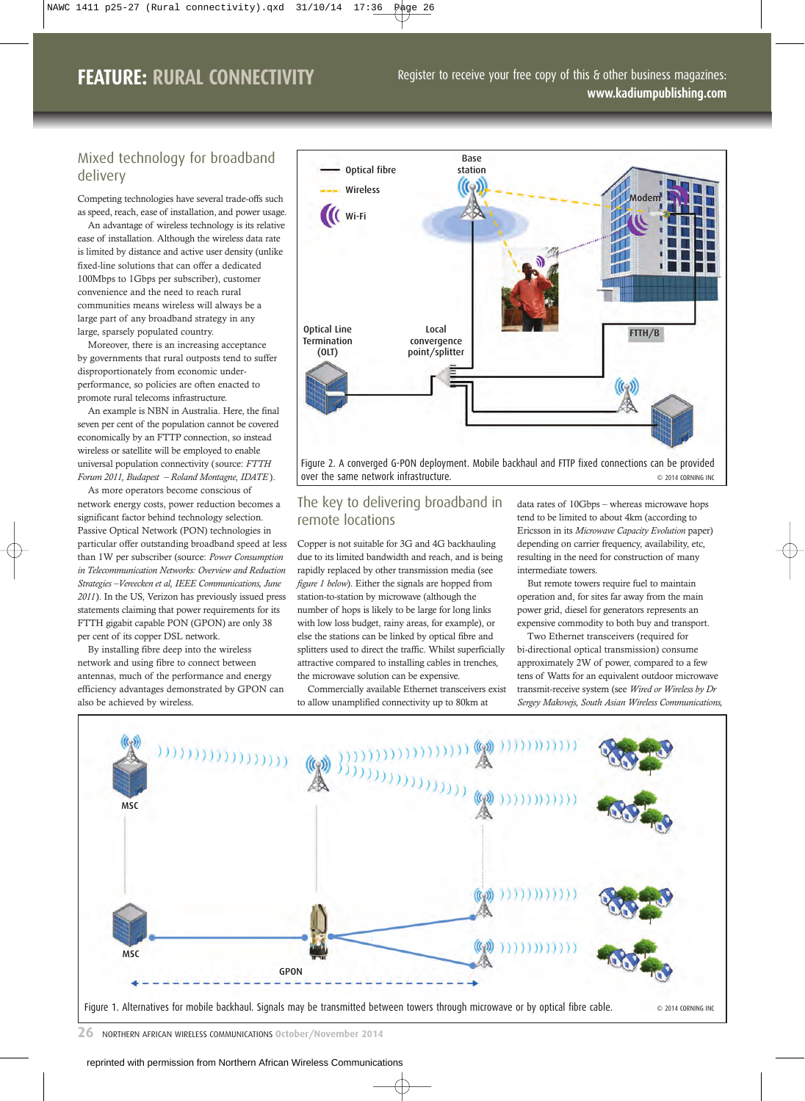# **FEATURE: RURAL CONNECTIVITY**

Register to receive your free copy of this & other business magazines: **www.kadiumpublishing.com**

## Mixed technology for broadband delivery

Competing technologies have several trade-offs such

as speed, reach, ease of installation, and power usage. An advantage of wireless technology is its relative ease of installation. Although the wireless data rate is limited by distance and active user density (unlike fixed-line solutions that can offer a dedicated 100Mbps to 1Gbps per subscriber), customer convenience and the need to reach rural communities means wireless will always be a large part of any broadband strategy in any large, sparsely populated country.

Moreover, there is an increasing acceptance by governments that rural outposts tend to suffer disproportionately from economic underperformance, so policies are often enacted to promote rural telecoms infrastructure.

An example is NBN in Australia. Here, the final seven per cent of the population cannot be covered economically by an FTTP connection, so instead wireless or satellite will be employed to enable universal population connectivity (source: *FTTH Forum 2011, Budapest – Roland Montagne, IDATE* ).

As more operators become conscious of network energy costs, power reduction becomes a significant factor behind technology selection. Passive Optical Network (PON) technologies in particular offer outstanding broadband speed at less than 1W per subscriber (source: *Power Consumption in Telecommunication Networks: Overview and Reduction Strategies –Vereecken et al, IEEE Communications, June 2011*). In the US, Verizon has previously issued press statements claiming that power requirements for its FTTH gigabit capable PON (GPON) are only 38 per cent of its copper DSL network.

By installing fibre deep into the wireless network and using fibre to connect between antennas, much of the performance and energy efficiency advantages demonstrated by GPON can also be achieved by wireless.



Figure 2. A converged G-PON deployment. Mobile backhaul and FTTP fixed connections can be provided over the same network infrastructure.  $\bullet$  2014 CORNING INC

### The key to delivering broadband in remote locations

Copper is not suitable for 3G and 4G backhauling due to its limited bandwidth and reach, and is being rapidly replaced by other transmission media (see *figure 1 below*). Either the signals are hopped from station-to-station by microwave (although the number of hops is likely to be large for long links with low loss budget, rainy areas, for example), or else the stations can be linked by optical fibre and splitters used to direct the traffic. Whilst superficially attractive compared to installing cables in trenches, the microwave solution can be expensive.

Commercially available Ethernet transceivers exist to allow unamplified connectivity up to 80km at

data rates of 10Gbps – whereas microwave hops tend to be limited to about 4km (according to Ericsson in its *Microwave Capacity Evolution* paper) depending on carrier frequency, availability, etc, resulting in the need for construction of many intermediate towers.

But remote towers require fuel to maintain operation and, for sites far away from the main power grid, diesel for generators represents an expensive commodity to both buy and transport.

Two Ethernet transceivers (required for bi-directional optical transmission) consume approximately 2W of power, compared to a few tens of Watts for an equivalent outdoor microwave transmit-receive system (see *Wired or Wireless by Dr Sergey Makovejs, South Asian Wireless Communications,*



Figure 1. Alternatives for mobile backhaul. Signals may be transmitted between towers through microwave or by optical fibre cable.  $\otimes$  2014 CORNING INC

**26** NORTHERN AFRICAN WIRELESS COMMUNICATIONS **October/November 2014**

reprinted with permission from Northern African Wireless Communications